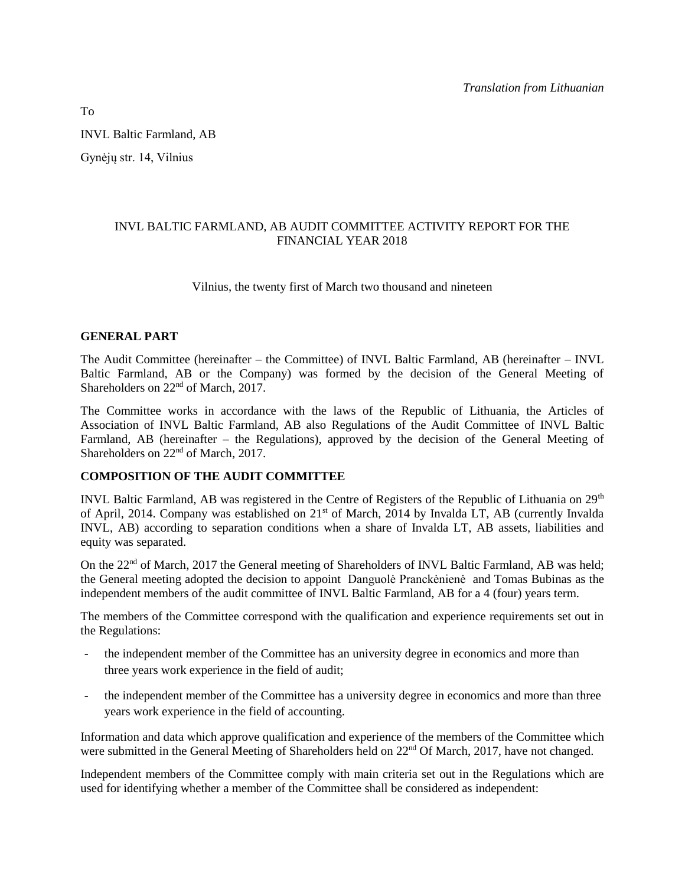INVL Baltic Farmland, AB Gynėjų str. 14, Vilnius

## INVL BALTIC FARMLAND, AB AUDIT COMMITTEE ACTIVITY REPORT FOR THE FINANCIAL YEAR 2018

## Vilnius, the twenty first of March two thousand and nineteen

### **GENERAL PART**

The Audit Committee (hereinafter – the Committee) of INVL Baltic Farmland, AB (hereinafter – INVL Baltic Farmland, AB or the Company) was formed by the decision of the General Meeting of Shareholders on  $22<sup>nd</sup>$  of March, 2017.

The Committee works in accordance with the laws of the Republic of Lithuania, the Articles of Association of INVL Baltic Farmland, AB also Regulations of the Audit Committee of INVL Baltic Farmland, AB (hereinafter – the Regulations), approved by the decision of the General Meeting of Shareholders on  $22<sup>nd</sup>$  of March, 2017.

# **COMPOSITION OF THE AUDIT COMMITTEE**

INVL Baltic Farmland, AB was registered in the Centre of Registers of the Republic of Lithuania on  $29<sup>th</sup>$ of April, 2014. Company was established on 21<sup>st</sup> of March, 2014 by Invalda LT, AB (currently Invalda INVL, AB) according to separation conditions when a share of Invalda LT, AB assets, liabilities and equity was separated.

On the 22<sup>nd</sup> of March, 2017 the General meeting of Shareholders of INVL Baltic Farmland, AB was held; the General meeting adopted the decision to appoint Danguolė Pranckėnienė and Tomas Bubinas as the independent members of the audit committee of INVL Baltic Farmland, AB for a 4 (four) years term.

The members of the Committee correspond with the qualification and experience requirements set out in the Regulations:

- the independent member of the Committee has an university degree in economics and more than three years work experience in the field of audit;
- the independent member of the Committee has a university degree in economics and more than three years work experience in the field of accounting.

Information and data which approve qualification and experience of the members of the Committee which were submitted in the General Meeting of Shareholders held on 22<sup>nd</sup> Of March, 2017, have not changed.

Independent members of the Committee comply with main criteria set out in the Regulations which are used for identifying whether a member of the Committee shall be considered as independent:

To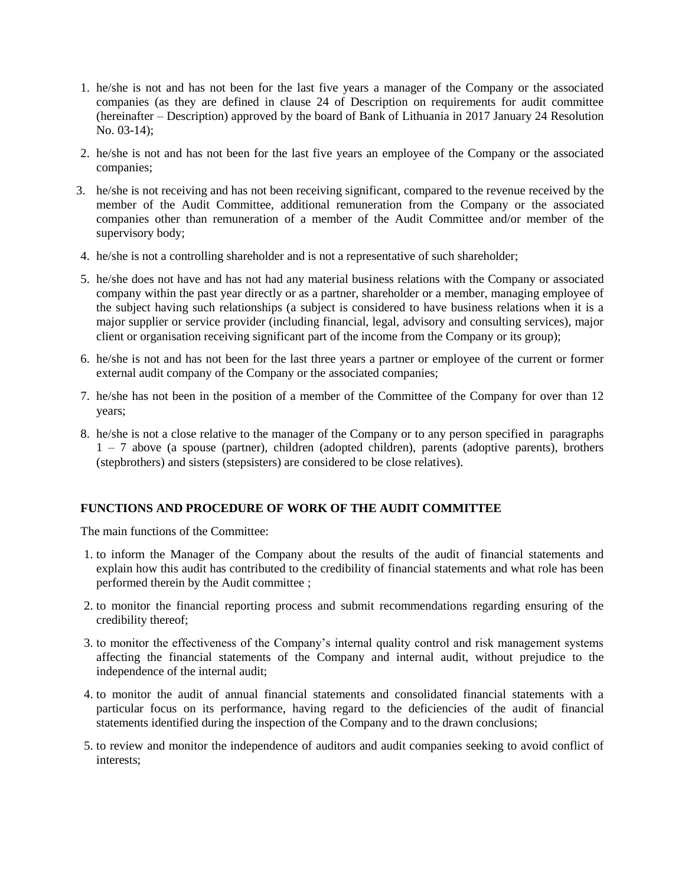- 1. he/she is not and has not been for the last five years a manager of the Company or the associated companies (as they are defined in clause 24 of Description on requirements for audit committee (hereinafter – Description) approved by the board of Bank of Lithuania in 2017 January 24 Resolution No. 03-14);
- 2. he/she is not and has not been for the last five years an employee of the Company or the associated companies;
- 3. he/she is not receiving and has not been receiving significant, compared to the revenue received by the member of the Audit Committee, additional remuneration from the Company or the associated companies other than remuneration of a member of the Audit Committee and/or member of the supervisory body;
- 4. he/she is not a controlling shareholder and is not a representative of such shareholder;
- 5. he/she does not have and has not had any material business relations with the Company or associated company within the past year directly or as a partner, shareholder or a member, managing employee of the subject having such relationships (a subject is considered to have business relations when it is a major supplier or service provider (including financial, legal, advisory and consulting services), major client or organisation receiving significant part of the income from the Company or its group);
- 6. he/she is not and has not been for the last three years a partner or employee of the current or former external audit company of the Company or the associated companies;
- 7. he/she has not been in the position of a member of the Committee of the Company for over than 12 years;
- 8. he/she is not a close relative to the manager of the Company or to any person specified in paragraphs 1 – 7 above (a spouse (partner), children (adopted children), parents (adoptive parents), brothers (stepbrothers) and sisters (stepsisters) are considered to be close relatives).

### **FUNCTIONS AND PROCEDURE OF WORK OF THE AUDIT COMMITTEE**

The main functions of the Committee:

- 1. to inform the Manager of the Company about the results of the audit of financial statements and explain how this audit has contributed to the credibility of financial statements and what role has been performed therein by the Audit committee ;
- 2. to monitor the financial reporting process and submit recommendations regarding ensuring of the credibility thereof;
- 3. to monitor the effectiveness of the Company's internal quality control and risk management systems affecting the financial statements of the Company and internal audit, without prejudice to the independence of the internal audit;
- 4. to monitor the audit of annual financial statements and consolidated financial statements with a particular focus on its performance, having regard to the deficiencies of the audit of financial statements identified during the inspection of the Company and to the drawn conclusions;
- 5. to review and monitor the independence of auditors and audit companies seeking to avoid conflict of interests;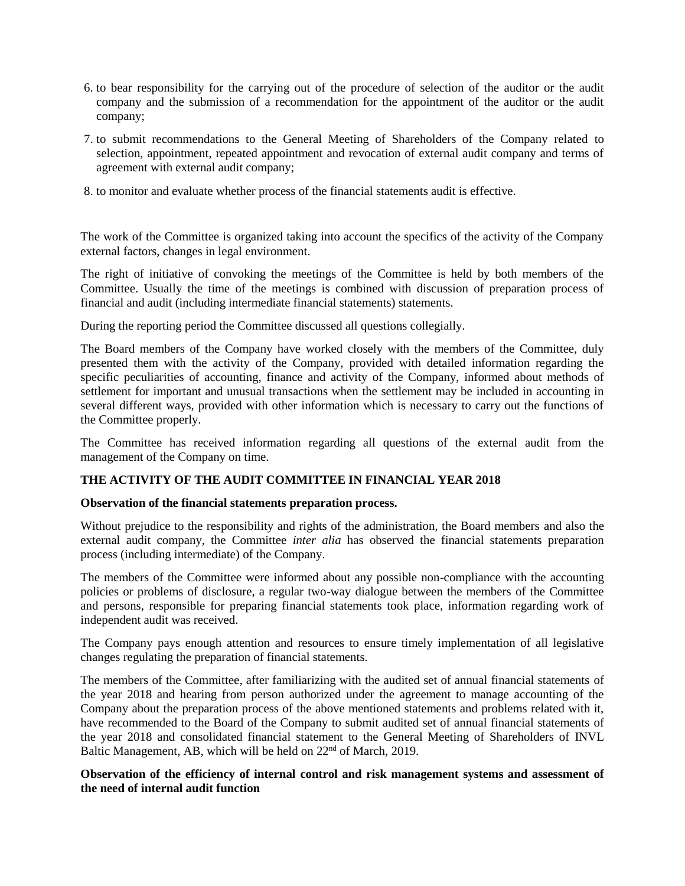- 6. to bear responsibility for the carrying out of the procedure of selection of the auditor or the audit company and the submission of a recommendation for the appointment of the auditor or the audit company;
- 7. to submit recommendations to the General Meeting of Shareholders of the Company related to selection, appointment, repeated appointment and revocation of external audit company and terms of agreement with external audit company;
- 8. to monitor and evaluate whether process of the financial statements audit is effective.

The work of the Committee is organized taking into account the specifics of the activity of the Company external factors, changes in legal environment.

The right of initiative of convoking the meetings of the Committee is held by both members of the Committee. Usually the time of the meetings is combined with discussion of preparation process of financial and audit (including intermediate financial statements) statements.

During the reporting period the Committee discussed all questions collegially.

The Board members of the Company have worked closely with the members of the Committee, duly presented them with the activity of the Company, provided with detailed information regarding the specific peculiarities of accounting, finance and activity of the Company, informed about methods of settlement for important and unusual transactions when the settlement may be included in accounting in several different ways, provided with other information which is necessary to carry out the functions of the Committee properly.

The Committee has received information regarding all questions of the external audit from the management of the Company on time.

# **THE ACTIVITY OF THE AUDIT COMMITTEE IN FINANCIAL YEAR 2018**

### **Observation of the financial statements preparation process.**

Without prejudice to the responsibility and rights of the administration, the Board members and also the external audit company, the Committee *inter alia* has observed the financial statements preparation process (including intermediate) of the Company.

The members of the Committee were informed about any possible non-compliance with the accounting policies or problems of disclosure, a regular two-way dialogue between the members of the Committee and persons, responsible for preparing financial statements took place, information regarding work of independent audit was received.

The Company pays enough attention and resources to ensure timely implementation of all legislative changes regulating the preparation of financial statements.

The members of the Committee, after familiarizing with the audited set of annual financial statements of the year 2018 and hearing from person authorized under the agreement to manage accounting of the Company about the preparation process of the above mentioned statements and problems related with it, have recommended to the Board of the Company to submit audited set of annual financial statements of the year 2018 and consolidated financial statement to the General Meeting of Shareholders of INVL Baltic Management, AB, which will be held on 22<sup>nd</sup> of March, 2019.

### **Observation of the efficiency of internal control and risk management systems and assessment of the need of internal audit function**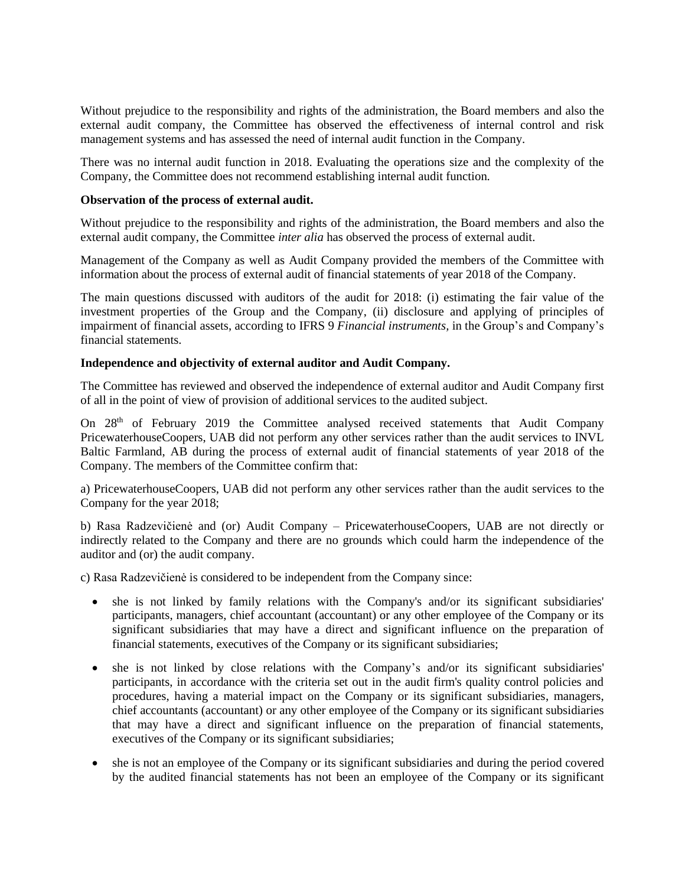Without prejudice to the responsibility and rights of the administration, the Board members and also the external audit company, the Committee has observed the effectiveness of internal control and risk management systems and has assessed the need of internal audit function in the Company.

There was no internal audit function in 2018. Evaluating the operations size and the complexity of the Company, the Committee does not recommend establishing internal audit function.

#### **Observation of the process of external audit.**

Without prejudice to the responsibility and rights of the administration, the Board members and also the external audit company, the Committee *inter alia* has observed the process of external audit.

Management of the Company as well as Audit Company provided the members of the Committee with information about the process of external audit of financial statements of year 2018 of the Company.

The main questions discussed with auditors of the audit for 2018: (i) estimating the fair value of the investment properties of the Group and the Company, (ii) disclosure and applying of principles of impairment of financial assets, according to IFRS 9 *Financial instruments,* in the Group's and Company's financial statements.

#### **Independence and objectivity of external auditor and Audit Company.**

The Committee has reviewed and observed the independence of external auditor and Audit Company first of all in the point of view of provision of additional services to the audited subject.

On  $28<sup>th</sup>$  of February 2019 the Committee analysed received statements that Audit Company PricewaterhouseCoopers, UAB did not perform any other services rather than the audit services to INVL Baltic Farmland, AB during the process of external audit of financial statements of year 2018 of the Company. The members of the Committee confirm that:

a) PricewaterhouseCoopers, UAB did not perform any other services rather than the audit services to the Company for the year 2018;

b) Rasa Radzevičienė and (or) Audit Company – PricewaterhouseCoopers, UAB are not directly or indirectly related to the Company and there are no grounds which could harm the independence of the auditor and (or) the audit company.

c) Rasa Radzevičienė is considered to be independent from the Company since:

- she is not linked by family relations with the Company's and/or its significant subsidiaries' participants, managers, chief accountant (accountant) or any other employee of the Company or its significant subsidiaries that may have a direct and significant influence on the preparation of financial statements, executives of the Company or its significant subsidiaries;
- she is not linked by close relations with the Company's and/or its significant subsidiaries' participants, in accordance with the criteria set out in the audit firm's quality control policies and procedures, having a material impact on the Company or its significant subsidiaries, managers, chief accountants (accountant) or any other employee of the Company or its significant subsidiaries that may have a direct and significant influence on the preparation of financial statements, executives of the Company or its significant subsidiaries;
- she is not an employee of the Company or its significant subsidiaries and during the period covered by the audited financial statements has not been an employee of the Company or its significant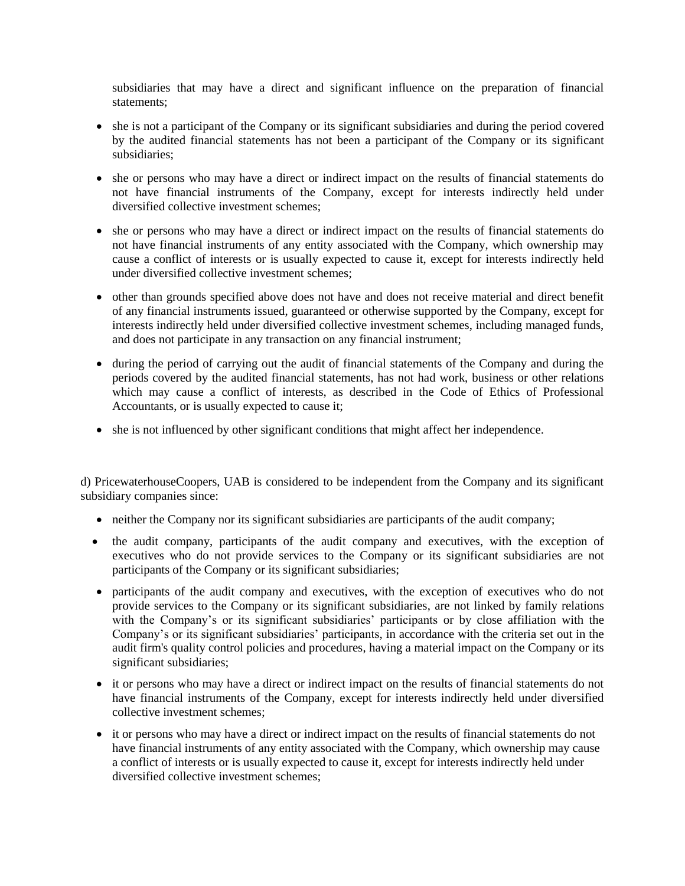subsidiaries that may have a direct and significant influence on the preparation of financial statements;

- she is not a participant of the Company or its significant subsidiaries and during the period covered by the audited financial statements has not been a participant of the Company or its significant subsidiaries;
- she or persons who may have a direct or indirect impact on the results of financial statements do not have financial instruments of the Company, except for interests indirectly held under diversified collective investment schemes;
- she or persons who may have a direct or indirect impact on the results of financial statements do not have financial instruments of any entity associated with the Company, which ownership may cause a conflict of interests or is usually expected to cause it, except for interests indirectly held under diversified collective investment schemes;
- other than grounds specified above does not have and does not receive material and direct benefit of any financial instruments issued, guaranteed or otherwise supported by the Company, except for interests indirectly held under diversified collective investment schemes, including managed funds, and does not participate in any transaction on any financial instrument;
- during the period of carrying out the audit of financial statements of the Company and during the periods covered by the audited financial statements, has not had work, business or other relations which may cause a conflict of interests, as described in the Code of Ethics of Professional Accountants, or is usually expected to cause it;
- she is not influenced by other significant conditions that might affect her independence.

d) PricewaterhouseCoopers, UAB is considered to be independent from the Company and its significant subsidiary companies since:

- neither the Company nor its significant subsidiaries are participants of the audit company;
- the audit company, participants of the audit company and executives, with the exception of executives who do not provide services to the Company or its significant subsidiaries are not participants of the Company or its significant subsidiaries;
- participants of the audit company and executives, with the exception of executives who do not provide services to the Company or its significant subsidiaries, are not linked by family relations with the Company's or its significant subsidiaries' participants or by close affiliation with the Company's or its significant subsidiaries' participants, in accordance with the criteria set out in the audit firm's quality control policies and procedures, having a material impact on the Company or its significant subsidiaries;
- it or persons who may have a direct or indirect impact on the results of financial statements do not have financial instruments of the Company, except for interests indirectly held under diversified collective investment schemes;
- it or persons who may have a direct or indirect impact on the results of financial statements do not have financial instruments of any entity associated with the Company, which ownership may cause a conflict of interests or is usually expected to cause it, except for interests indirectly held under diversified collective investment schemes;